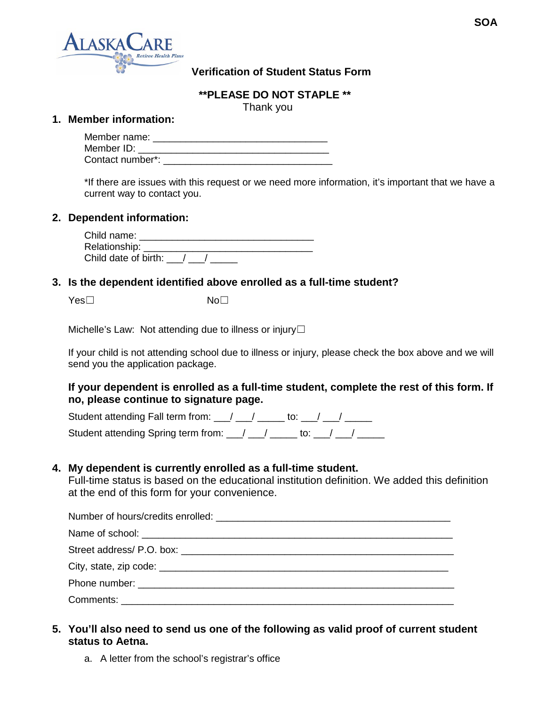

## **Verification of Student Status Form**

**\*\*PLEASE DO NOT STAPLE \*\***

Thank you

#### **1. Member information:**

| Member name:     |  |
|------------------|--|
| Member ID:       |  |
| Contact number*: |  |

\*If there are issues with this request or we need more information, it's important that we have a current way to contact you.

#### **2. Dependent information:**

| Child name:          |  |
|----------------------|--|
| Relationship: _      |  |
| Child date of birth: |  |

### **3. Is the dependent identified above enrolled as a full-time student?**

Yes□ No□

Michelle's Law: Not attending due to illness or injury $\Box$ 

If your child is not attending school due to illness or injury, please check the box above and we will send you the application package.

### **If your dependent is enrolled as a full-time student, complete the rest of this form. If no, please continue to signature page.**

Student attending Fall term from:  $\frac{1}{2}$   $\frac{1}{2}$   $\frac{1}{2}$  to:  $\frac{1}{2}$   $\frac{1}{2}$   $\frac{1}{2}$ Student attending Spring term from:  $\frac{1}{2}$   $\frac{1}{2}$   $\frac{1}{2}$  to:  $\frac{1}{2}$   $\frac{1}{2}$   $\frac{1}{2}$ 

### **4. My dependent is currently enrolled as a full-time student.**

Full-time status is based on the educational institution definition. We added this definition at the end of this form for your convenience.

| Phone number: the contract of the contract of the contract of the contract of the contract of the contract of the contract of the contract of the contract of the contract of the contract of the contract of the contract of |  |
|-------------------------------------------------------------------------------------------------------------------------------------------------------------------------------------------------------------------------------|--|
|                                                                                                                                                                                                                               |  |

# **5. You'll also need to send us one of the following as valid proof of current student status to Aetna.**

a. A letter from the school's registrar's office